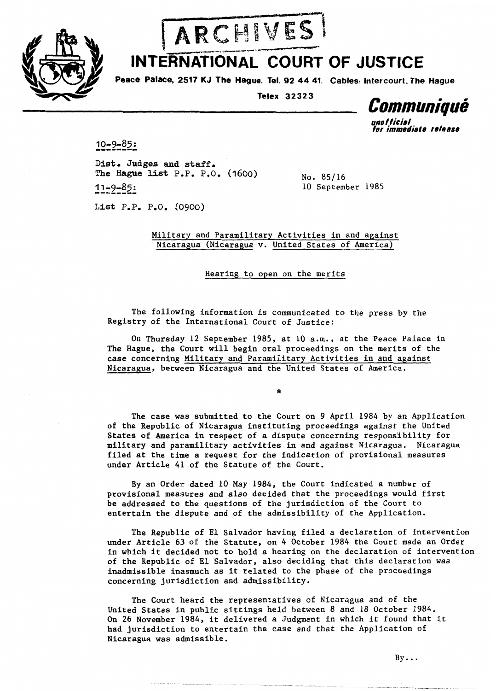



## INTERNATIONAL COURT OF JUSTICE

Peace Palace, 2517 KJ The Hague. Tel. 92 44 41. Cables: Intercourt, The Hague

Telex 32323

Communiqué **un0 f ficial** 

for immediate release

 $10 - 9 - 85:$ 

**Dist. Judges and staff. The Hague list P.P. P.O. (1600)** No. 85/16  $11 - 9 - 85:$ 

10 September 1985

List P.P. P.O. (0900)

Military and Paramilitary Activities in and against Nicaragua (Nicaragua v. United States of America)

Hearing to open on the merits

The following information is communicated to the press by the Registry of the International Court of Justice:

On Thursday 12 September 1985, at 10 a.m., at the Peace Palace in The Hague, the Court will begin oral proceedings on the merits of the case concerning Military and Paramilitary Activities in and against Nicaragua, between Nicaragua and the United States of America.

The case was submitted to the Court on 9 April 1984 by an Application of the Republic of Nicaragua instituting proceedings against the United States of America in respect of a dispute concerning responsibility for military and paramilitary activities in and against Nicaragua. Nicaragua filed at the time a request for the indication of provisional measures under Article 41 of the Statute of the Court.

By an Order dated 10 May 1984, the Court indicated a number of provisional measures and also decided that the proceedings would first be addressed to the questions of the jurisdiction of the Court to entertain the dispute and of the admissibility of the Application.

The Republic of El Salvador having filed a declaration of intervention under Article 63 of the Statute, on 4 October 1984 the Court made an Order in which it decided not to hold a hearing on the declaration of intervention of the Republic of El Salvador, also deciding that this declaration was inadmissible inasmuch as it related to the phase of the proceedings concerning jurisdiction and admissibility.

The Court heard the representatives of Nicaragua and of the United States in public sittings held between 8 and 18 October 1984. On 26 November 1984, it delivered a Judgment in which it found that it had jurisdiction to entertain the case and that the Application of Nicaragua was admissible.